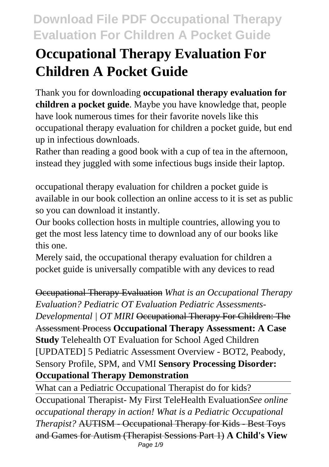# **Occupational Therapy Evaluation For Children A Pocket Guide**

Thank you for downloading **occupational therapy evaluation for children a pocket guide**. Maybe you have knowledge that, people have look numerous times for their favorite novels like this occupational therapy evaluation for children a pocket guide, but end up in infectious downloads.

Rather than reading a good book with a cup of tea in the afternoon, instead they juggled with some infectious bugs inside their laptop.

occupational therapy evaluation for children a pocket guide is available in our book collection an online access to it is set as public so you can download it instantly.

Our books collection hosts in multiple countries, allowing you to get the most less latency time to download any of our books like this one.

Merely said, the occupational therapy evaluation for children a pocket guide is universally compatible with any devices to read

Occupational Therapy Evaluation *What is an Occupational Therapy Evaluation? Pediatric OT Evaluation Pediatric Assessments-Developmental | OT MIRI* <del>Occupational Therapy For Children: The</del> Assessment Process **Occupational Therapy Assessment: A Case Study** Telehealth OT Evaluation for School Aged Children [UPDATED] 5 Pediatric Assessment Overview - BOT2, Peabody, Sensory Profile, SPM, and VMI **Sensory Processing Disorder: Occupational Therapy Demonstration**

What can a Pediatric Occupational Therapist do for kids?

Occupational Therapist- My First TeleHealth Evaluation*See online occupational therapy in action! What is a Pediatric Occupational Therapist?* AUTISM - Occupational Therapy for Kids - Best Toys and Games for Autism (Therapist Sessions Part 1) **A Child's View** Page 1/9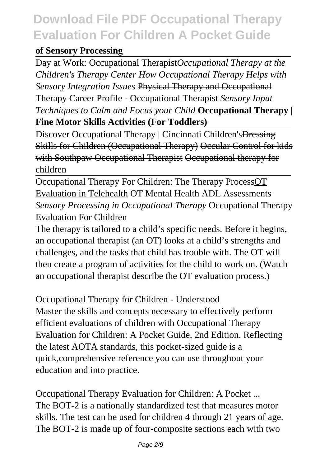#### **of Sensory Processing**

Day at Work: Occupational Therapist*Occupational Therapy at the Children's Therapy Center How Occupational Therapy Helps with Sensory Integration Issues* Physical Therapy and Occupational Therapy Career Profile - Occupational Therapist *Sensory Input Techniques to Calm and Focus your Child* **Occupational Therapy | Fine Motor Skills Activities (For Toddlers)**

Discover Occupational Therapy | Cincinnati Children's Dressing Skills for Children (Occupational Therapy) Occular Control for kids with Southpaw Occupational Therapist Occupational therapy for children

Occupational Therapy For Children: The Therapy ProcessOT Evaluation in Telehealth OT Mental Health ADL Assessments *Sensory Processing in Occupational Therapy* Occupational Therapy Evaluation For Children

The therapy is tailored to a child's specific needs. Before it begins, an occupational therapist (an OT) looks at a child's strengths and challenges, and the tasks that child has trouble with. The OT will then create a program of activities for the child to work on. (Watch an occupational therapist describe the OT evaluation process.)

Occupational Therapy for Children - Understood Master the skills and concepts necessary to effectively perform efficient evaluations of children with Occupational Therapy Evaluation for Children: A Pocket Guide, 2nd Edition. Reflecting the latest AOTA standards, this pocket-sized guide is a quick,comprehensive reference you can use throughout your education and into practice.

Occupational Therapy Evaluation for Children: A Pocket ... The BOT-2 is a nationally standardized test that measures motor skills. The test can be used for children 4 through 21 years of age. The BOT-2 is made up of four-composite sections each with two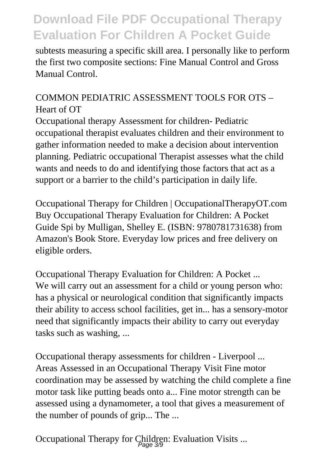subtests measuring a specific skill area. I personally like to perform the first two composite sections: Fine Manual Control and Gross Manual Control.

#### COMMON PEDIATRIC ASSESSMENT TOOLS FOR OTS – Heart of OT

Occupational therapy Assessment for children- Pediatric occupational therapist evaluates children and their environment to gather information needed to make a decision about intervention planning. Pediatric occupational Therapist assesses what the child wants and needs to do and identifying those factors that act as a support or a barrier to the child's participation in daily life.

Occupational Therapy for Children | OccupationalTherapyOT.com Buy Occupational Therapy Evaluation for Children: A Pocket Guide Spi by Mulligan, Shelley E. (ISBN: 9780781731638) from Amazon's Book Store. Everyday low prices and free delivery on eligible orders.

Occupational Therapy Evaluation for Children: A Pocket ... We will carry out an assessment for a child or young person who: has a physical or neurological condition that significantly impacts their ability to access school facilities, get in... has a sensory-motor need that significantly impacts their ability to carry out everyday tasks such as washing, ...

Occupational therapy assessments for children - Liverpool ... Areas Assessed in an Occupational Therapy Visit Fine motor coordination may be assessed by watching the child complete a fine motor task like putting beads onto a... Fine motor strength can be assessed using a dynamometer, a tool that gives a measurement of the number of pounds of grip... The ...

Occupational Therapy for Children: Evaluation Visits ...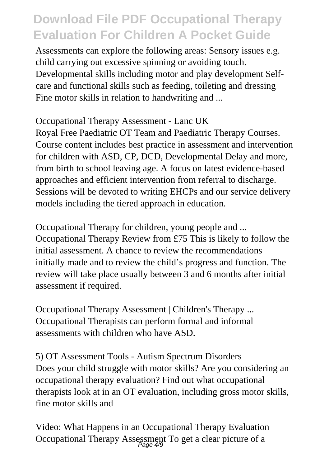Assessments can explore the following areas: Sensory issues e.g. child carrying out excessive spinning or avoiding touch. Developmental skills including motor and play development Selfcare and functional skills such as feeding, toileting and dressing Fine motor skills in relation to handwriting and ...

Occupational Therapy Assessment - Lanc UK Royal Free Paediatric OT Team and Paediatric Therapy Courses. Course content includes best practice in assessment and intervention for children with ASD, CP, DCD, Developmental Delay and more, from birth to school leaving age. A focus on latest evidence-based approaches and efficient intervention from referral to discharge. Sessions will be devoted to writing EHCPs and our service delivery models including the tiered approach in education.

Occupational Therapy for children, young people and ... Occupational Therapy Review from £75 This is likely to follow the initial assessment. A chance to review the recommendations initially made and to review the child's progress and function. The review will take place usually between 3 and 6 months after initial assessment if required.

Occupational Therapy Assessment | Children's Therapy ... Occupational Therapists can perform formal and informal assessments with children who have ASD.

5) OT Assessment Tools - Autism Spectrum Disorders Does your child struggle with motor skills? Are you considering an occupational therapy evaluation? Find out what occupational therapists look at in an OT evaluation, including gross motor skills, fine motor skills and

Video: What Happens in an Occupational Therapy Evaluation Occupational Therapy Assessment To get a clear picture of a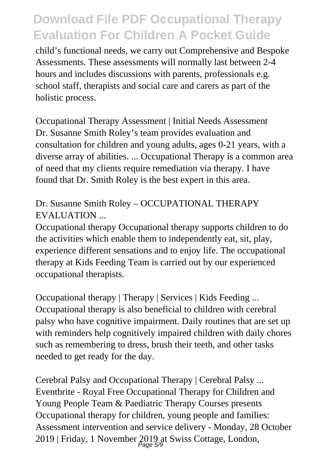child's functional needs, we carry out Comprehensive and Bespoke Assessments. These assessments will normally last between 2-4 hours and includes discussions with parents, professionals e.g. school staff, therapists and social care and carers as part of the holistic process.

Occupational Therapy Assessment | Initial Needs Assessment Dr. Susanne Smith Roley's team provides evaluation and consultation for children and young adults, ages 0-21 years, with a diverse array of abilities. ... Occupational Therapy is a common area of need that my clients require remediation via therapy. I have found that Dr. Smith Roley is the best expert in this area.

#### Dr. Susanne Smith Roley – OCCUPATIONAL THERAPY EVALUATION ...

Occupational therapy Occupational therapy supports children to do the activities which enable them to independently eat, sit, play, experience different sensations and to enjoy life. The occupational therapy at Kids Feeding Team is carried out by our experienced occupational therapists.

Occupational therapy | Therapy | Services | Kids Feeding ... Occupational therapy is also beneficial to children with cerebral palsy who have cognitive impairment. Daily routines that are set up with reminders help cognitively impaired children with daily chores such as remembering to dress, brush their teeth, and other tasks needed to get ready for the day.

Cerebral Palsy and Occupational Therapy | Cerebral Palsy ... Eventbrite - Royal Free Occupational Therapy for Children and Young People Team & Paediatric Therapy Courses presents Occupational therapy for children, young people and families: Assessment intervention and service delivery - Monday, 28 October 2019 | Friday, 1 November 2019 at Swiss Cottage, London,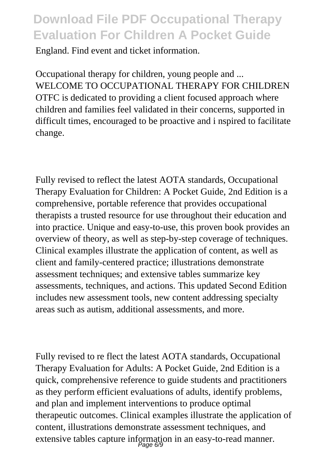England. Find event and ticket information.

Occupational therapy for children, young people and ... WELCOME TO OCCUPATIONAL THERAPY FOR CHILDREN OTFC is dedicated to providing a client focused approach where children and families feel validated in their concerns, supported in difficult times, encouraged to be proactive and i nspired to facilitate change.

Fully revised to reflect the latest AOTA standards, Occupational Therapy Evaluation for Children: A Pocket Guide, 2nd Edition is a comprehensive, portable reference that provides occupational therapists a trusted resource for use throughout their education and into practice. Unique and easy-to-use, this proven book provides an overview of theory, as well as step-by-step coverage of techniques. Clinical examples illustrate the application of content, as well as client and family-centered practice; illustrations demonstrate assessment techniques; and extensive tables summarize key assessments, techniques, and actions. This updated Second Edition includes new assessment tools, new content addressing specialty areas such as autism, additional assessments, and more.

Fully revised to re flect the latest AOTA standards, Occupational Therapy Evaluation for Adults: A Pocket Guide, 2nd Edition is a quick, comprehensive reference to guide students and practitioners as they perform efficient evaluations of adults, identify problems, and plan and implement interventions to produce optimal therapeutic outcomes. Clinical examples illustrate the application of content, illustrations demonstrate assessment techniques, and extensive tables capture information in an easy-to-read manner.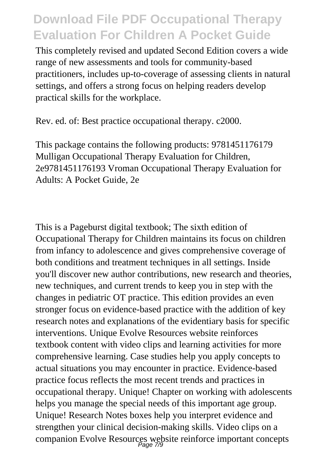This completely revised and updated Second Edition covers a wide range of new assessments and tools for community-based practitioners, includes up-to-coverage of assessing clients in natural settings, and offers a strong focus on helping readers develop practical skills for the workplace.

Rev. ed. of: Best practice occupational therapy. c2000.

This package contains the following products: 9781451176179 Mulligan Occupational Therapy Evaluation for Children, 2e9781451176193 Vroman Occupational Therapy Evaluation for Adults: A Pocket Guide, 2e

This is a Pageburst digital textbook; The sixth edition of Occupational Therapy for Children maintains its focus on children from infancy to adolescence and gives comprehensive coverage of both conditions and treatment techniques in all settings. Inside you'll discover new author contributions, new research and theories, new techniques, and current trends to keep you in step with the changes in pediatric OT practice. This edition provides an even stronger focus on evidence-based practice with the addition of key research notes and explanations of the evidentiary basis for specific interventions. Unique Evolve Resources website reinforces textbook content with video clips and learning activities for more comprehensive learning. Case studies help you apply concepts to actual situations you may encounter in practice. Evidence-based practice focus reflects the most recent trends and practices in occupational therapy. Unique! Chapter on working with adolescents helps you manage the special needs of this important age group. Unique! Research Notes boxes help you interpret evidence and strengthen your clinical decision-making skills. Video clips on a companion Evolve Resources website reinforce important concepts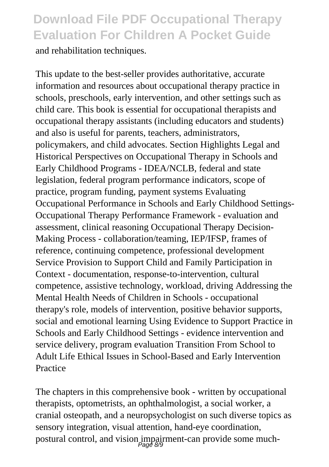and rehabilitation techniques.

This update to the best-seller provides authoritative, accurate information and resources about occupational therapy practice in schools, preschools, early intervention, and other settings such as child care. This book is essential for occupational therapists and occupational therapy assistants (including educators and students) and also is useful for parents, teachers, administrators, policymakers, and child advocates. Section Highlights Legal and Historical Perspectives on Occupational Therapy in Schools and Early Childhood Programs - IDEA/NCLB, federal and state legislation, federal program performance indicators, scope of practice, program funding, payment systems Evaluating Occupational Performance in Schools and Early Childhood Settings-Occupational Therapy Performance Framework - evaluation and assessment, clinical reasoning Occupational Therapy Decision-Making Process - collaboration/teaming, IEP/IFSP, frames of reference, continuing competence, professional development Service Provision to Support Child and Family Participation in Context - documentation, response-to-intervention, cultural competence, assistive technology, workload, driving Addressing the Mental Health Needs of Children in Schools - occupational therapy's role, models of intervention, positive behavior supports, social and emotional learning Using Evidence to Support Practice in Schools and Early Childhood Settings - evidence intervention and service delivery, program evaluation Transition From School to Adult Life Ethical Issues in School-Based and Early Intervention Practice

The chapters in this comprehensive book - written by occupational therapists, optometrists, an ophthalmologist, a social worker, a cranial osteopath, and a neuropsychologist on such diverse topics as sensory integration, visual attention, hand-eye coordination, postural control, and vision impairment-can provide some much-